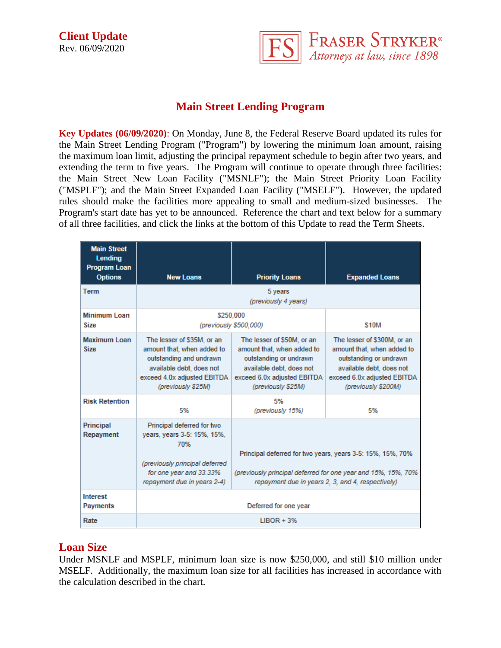

# **Main Street Lending Program**

**Key Updates (06/09/2020)**: On Monday, June 8, the Federal Reserve Board updated its rules for the Main Street Lending Program ("Program") by lowering the minimum loan amount, raising the maximum loan limit, adjusting the principal repayment schedule to begin after two years, and extending the term to five years. The Program will continue to operate through three facilities: the Main Street New Loan Facility ("MSNLF"); the Main Street Priority Loan Facility ("MSPLF"); and the Main Street Expanded Loan Facility ("MSELF"). However, the updated rules should make the facilities more appealing to small and medium-sized businesses. The Program's start date has yet to be announced. Reference the chart and text below for a summary of all three facilities, and click the links at the bottom of this Update to read the Term Sheets.

| <b>Main Street</b><br>Lending<br><b>Program Loan</b><br><b>Options</b> | <b>New Loans</b>                                                                                                                                                     | <b>Priority Loans</b>                                                                                                                                                            | <b>Expanded Loans</b>                                                                                                                                                 |
|------------------------------------------------------------------------|----------------------------------------------------------------------------------------------------------------------------------------------------------------------|----------------------------------------------------------------------------------------------------------------------------------------------------------------------------------|-----------------------------------------------------------------------------------------------------------------------------------------------------------------------|
| <b>Term</b>                                                            |                                                                                                                                                                      | 5 years<br>(previously 4 years)                                                                                                                                                  |                                                                                                                                                                       |
| <b>Minimum Loan</b><br><b>Size</b>                                     | \$250.000<br>(previously \$500,000)                                                                                                                                  |                                                                                                                                                                                  | \$10M                                                                                                                                                                 |
| <b>Maximum Loan</b><br><b>Size</b>                                     | The lesser of \$35M, or an<br>amount that, when added to<br>outstanding and undrawn<br>available debt, does not<br>exceed 4.0x adjusted EBITDA<br>(previously \$25M) | The lesser of \$50M, or an<br>amount that, when added to<br>outstanding or undrawn<br>available debt, does not<br>exceed 6.0x adjusted EBITDA<br>(previously \$25M)              | The lesser of \$300M, or an<br>amount that, when added to<br>outstanding or undrawn<br>available debt, does not<br>exceed 6.0x adjusted EBITDA<br>(previously \$200M) |
| <b>Risk Retention</b>                                                  | 5%                                                                                                                                                                   | 5%<br>(previously 15%)                                                                                                                                                           | 5%                                                                                                                                                                    |
| Principal<br>Repayment                                                 | Principal deferred for two<br>years, years 3-5: 15%, 15%,<br>70%<br>(previously principal deferred<br>for one year and 33.33%<br>repayment due in years 2-4)         | Principal deferred for two years, years 3-5: 15%, 15%, 70%<br>(previously principal deferred for one year and 15%, 15%, 70%<br>repayment due in years 2, 3, and 4, respectively) |                                                                                                                                                                       |
| <b>Interest</b><br><b>Payments</b>                                     | Deferred for one year                                                                                                                                                |                                                                                                                                                                                  |                                                                                                                                                                       |
| Rate                                                                   | $LIBOR + 3%$                                                                                                                                                         |                                                                                                                                                                                  |                                                                                                                                                                       |

### **Loan Size**

Under MSNLF and MSPLF, minimum loan size is now \$250,000, and still \$10 million under MSELF. Additionally, the maximum loan size for all facilities has increased in accordance with the calculation described in the chart.